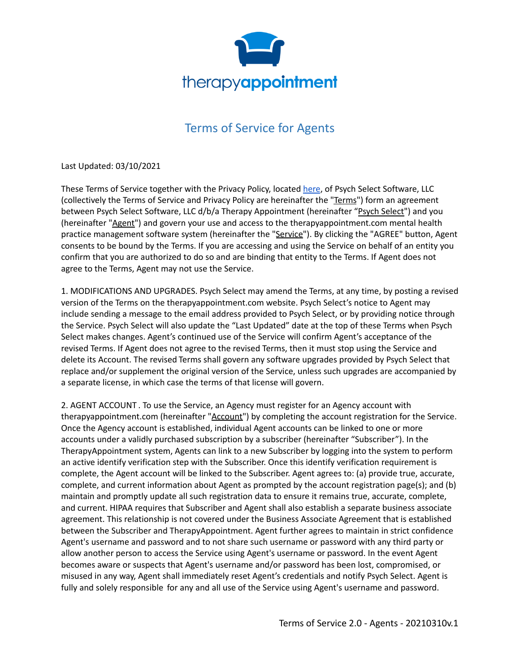

## Terms of Service for Agents

Last Updated: 03/10/2021

These Terms of Service together with the Privacy Policy, located [here](https://cdn2.hubspot.net/hubfs/4913696/TherapyAppointment_June2019/Pdf/TherapyAppointment-Privacy-Policy-12-18-2018.pdf), of Psych Select Software, LLC (collectively the Terms of Service and Privacy Policy are hereinafter the "Terms") form an agreement between Psych Select Software, LLC d/b/a Therapy Appointment (hereinafter "Psych Select") and you (hereinafter "Agent") and govern your use and access to the therapyappointment.com mental health practice management software system (hereinafter the "Service"). By clicking the "AGREE" button, Agent consents to be bound by the Terms. If you are accessing and using the Service on behalf of an entity you confirm that you are authorized to do so and are binding that entity to the Terms. If Agent does not agree to the Terms, Agent may not use the Service.

1. MODIFICATIONS AND UPGRADES. Psych Select may amend the Terms, at any time, by posting a revised version of the Terms on the therapyappointment.com website. Psych Select's notice to Agent may include sending a message to the email address provided to Psych Select, or by providing notice through the Service. Psych Select will also update the "Last Updated" date at the top of these Terms when Psych Select makes changes. Agent's continued use of the Service will confirm Agent's acceptance of the revised Terms. If Agent does not agree to the revised Terms, then it must stop using the Service and delete its Account. The revised Terms shall govern any software upgrades provided by Psych Select that replace and/or supplement the original version of the Service, unless such upgrades are accompanied by a separate license, in which case the terms of that license will govern.

2. AGENT ACCOUNT . To use the Service, an Agency must register for an Agency account with therapyappointment.com (hereinafter "Account") by completing the account registration for the Service. Once the Agency account is established, individual Agent accounts can be linked to one or more accounts under a validly purchased subscription by a subscriber (hereinafter "Subscriber"). In the TherapyAppointment system, Agents can link to a new Subscriber by logging into the system to perform an active identify verification step with the Subscriber. Once this identify verification requirement is complete, the Agent account will be linked to the Subscriber. Agent agrees to: (a) provide true, accurate, complete, and current information about Agent as prompted by the account registration page(s); and (b) maintain and promptly update all such registration data to ensure it remains true, accurate, complete, and current. HIPAA requires that Subscriber and Agent shall also establish a separate business associate agreement. This relationship is not covered under the Business Associate Agreement that is established between the Subscriber and TherapyAppointment. Agent further agrees to maintain in strict confidence Agent's username and password and to not share such username or password with any third party or allow another person to access the Service using Agent's username or password. In the event Agent becomes aware or suspects that Agent's username and/or password has been lost, compromised, or misused in any way, Agent shall immediately reset Agent's credentials and notify Psych Select. Agent is fully and solely responsible for any and all use of the Service using Agent's username and password.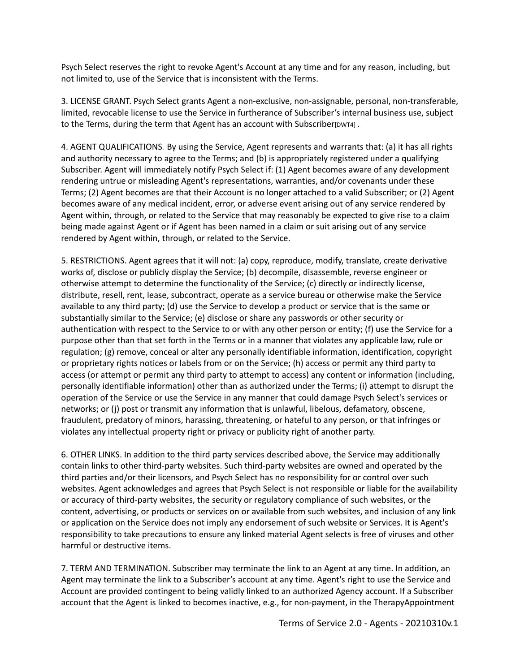Psych Select reserves the right to revoke Agent's Account at any time and for any reason, including, but not limited to, use of the Service that is inconsistent with the Terms.

3. LICENSE GRANT. Psych Select grants Agent a non-exclusive, non-assignable, personal, non-transferable, limited, revocable license to use the Service in furtherance of Subscriber's internal business use, subject to the Terms, during the term that Agent has an account with Subscriber[DWT4].

4. AGENT QUALIFICATIONS. By using the Service, Agent represents and warrants that: (a) it has all rights and authority necessary to agree to the Terms; and (b) is appropriately registered under a qualifying Subscriber. Agent will immediately notify Psych Select if: (1) Agent becomes aware of any development rendering untrue or misleading Agent's representations, warranties, and/or covenants under these Terms; (2) Agent becomes are that their Account is no longer attached to a valid Subscriber; or (2) Agent becomes aware of any medical incident, error, or adverse event arising out of any service rendered by Agent within, through, or related to the Service that may reasonably be expected to give rise to a claim being made against Agent or if Agent has been named in a claim or suit arising out of any service rendered by Agent within, through, or related to the Service.

5. RESTRICTIONS. Agent agrees that it will not: (a) copy, reproduce, modify, translate, create derivative works of, disclose or publicly display the Service; (b) decompile, disassemble, reverse engineer or otherwise attempt to determine the functionality of the Service; (c) directly or indirectly license, distribute, resell, rent, lease, subcontract, operate as a service bureau or otherwise make the Service available to any third party; (d) use the Service to develop a product or service that is the same or substantially similar to the Service; (e) disclose or share any passwords or other security or authentication with respect to the Service to or with any other person or entity; (f) use the Service for a purpose other than that set forth in the Terms or in a manner that violates any applicable law, rule or regulation; (g) remove, conceal or alter any personally identifiable information, identification, copyright or proprietary rights notices or labels from or on the Service; (h) access or permit any third party to access (or attempt or permit any third party to attempt to access) any content or information (including, personally identifiable information) other than as authorized under the Terms; (i) attempt to disrupt the operation of the Service or use the Service in any manner that could damage Psych Select's services or networks; or (j) post or transmit any information that is unlawful, libelous, defamatory, obscene, fraudulent, predatory of minors, harassing, threatening, or hateful to any person, or that infringes or violates any intellectual property right or privacy or publicity right of another party.

6. OTHER LINKS. In addition to the third party services described above, the Service may additionally contain links to other third-party websites. Such third-party websites are owned and operated by the third parties and/or their licensors, and Psych Select has no responsibility for or control over such websites. Agent acknowledges and agrees that Psych Select is not responsible or liable for the availability or accuracy of third-party websites, the security or regulatory compliance of such websites, or the content, advertising, or products or services on or available from such websites, and inclusion of any link or application on the Service does not imply any endorsement of such website or Services. It is Agent's responsibility to take precautions to ensure any linked material Agent selects is free of viruses and other harmful or destructive items.

7. TERM AND TERMINATION. Subscriber may terminate the link to an Agent at any time. In addition, an Agent may terminate the link to a Subscriber's account at any time. Agent's right to use the Service and Account are provided contingent to being validly linked to an authorized Agency account. If a Subscriber account that the Agent is linked to becomes inactive, e.g., for non-payment, in the TherapyAppointment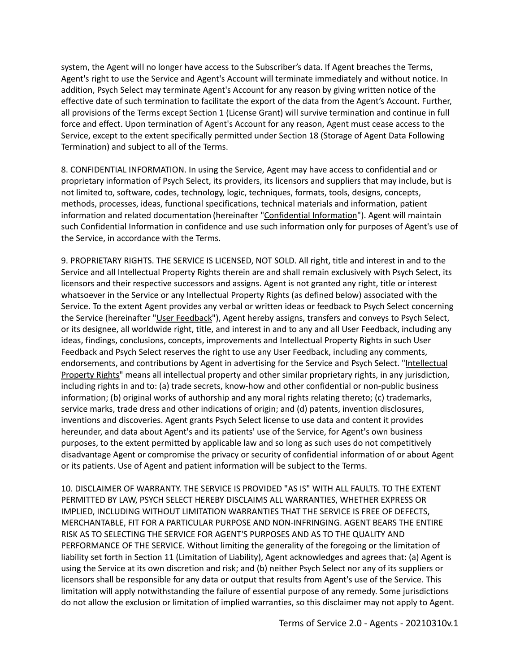system, the Agent will no longer have access to the Subscriber's data. If Agent breaches the Terms, Agent's right to use the Service and Agent's Account will terminate immediately and without notice. In addition, Psych Select may terminate Agent's Account for any reason by giving written notice of the effective date of such termination to facilitate the export of the data from the Agent's Account. Further, all provisions of the Terms except Section 1 (License Grant) will survive termination and continue in full force and effect. Upon termination of Agent's Account for any reason, Agent must cease access to the Service, except to the extent specifically permitted under Section 18 (Storage of Agent Data Following Termination) and subject to all of the Terms.

8. CONFIDENTIAL INFORMATION. In using the Service, Agent may have access to confidential and or proprietary information of Psych Select, its providers, its licensors and suppliers that may include, but is not limited to, software, codes, technology, logic, techniques, formats, tools, designs, concepts, methods, processes, ideas, functional specifications, technical materials and information, patient information and related documentation (hereinafter "Confidential Information"). Agent will maintain such Confidential Information in confidence and use such information only for purposes of Agent's use of the Service, in accordance with the Terms.

9. PROPRIETARY RIGHTS. THE SERVICE IS LICENSED, NOT SOLD. All right, title and interest in and to the Service and all Intellectual Property Rights therein are and shall remain exclusively with Psych Select, its licensors and their respective successors and assigns. Agent is not granted any right, title or interest whatsoever in the Service or any Intellectual Property Rights (as defined below) associated with the Service. To the extent Agent provides any verbal or written ideas or feedback to Psych Select concerning the Service (hereinafter "User Feedback"), Agent hereby assigns, transfers and conveys to Psych Select, or its designee, all worldwide right, title, and interest in and to any and all User Feedback, including any ideas, findings, conclusions, concepts, improvements and Intellectual Property Rights in such User Feedback and Psych Select reserves the right to use any User Feedback, including any comments, endorsements, and contributions by Agent in advertising for the Service and Psych Select. "Intellectual Property Rights" means all intellectual property and other similar proprietary rights, in any jurisdiction, including rights in and to: (a) trade secrets, know-how and other confidential or non-public business information; (b) original works of authorship and any moral rights relating thereto; (c) trademarks, service marks, trade dress and other indications of origin; and (d) patents, invention disclosures, inventions and discoveries. Agent grants Psych Select license to use data and content it provides hereunder, and data about Agent's and its patients' use of the Service, for Agent's own business purposes, to the extent permitted by applicable law and so long as such uses do not competitively disadvantage Agent or compromise the privacy or security of confidential information of or about Agent or its patients. Use of Agent and patient information will be subject to the Terms.

10. DISCLAIMER OF WARRANTY. THE SERVICE IS PROVIDED "AS IS" WITH ALL FAULTS. TO THE EXTENT PERMITTED BY LAW, PSYCH SELECT HEREBY DISCLAIMS ALL WARRANTIES, WHETHER EXPRESS OR IMPLIED, INCLUDING WITHOUT LIMITATION WARRANTIES THAT THE SERVICE IS FREE OF DEFECTS, MERCHANTABLE, FIT FOR A PARTICULAR PURPOSE AND NON-INFRINGING. AGENT BEARS THE ENTIRE RISK AS TO SELECTING THE SERVICE FOR AGENT'S PURPOSES AND AS TO THE QUALITY AND PERFORMANCE OF THE SERVICE. Without limiting the generality of the foregoing or the limitation of liability set forth in Section 11 (Limitation of Liability), Agent acknowledges and agrees that: (a) Agent is using the Service at its own discretion and risk; and (b) neither Psych Select nor any of its suppliers or licensors shall be responsible for any data or output that results from Agent's use of the Service. This limitation will apply notwithstanding the failure of essential purpose of any remedy. Some jurisdictions do not allow the exclusion or limitation of implied warranties, so this disclaimer may not apply to Agent.

Terms of Service 2.0 - Agents - 20210310v.1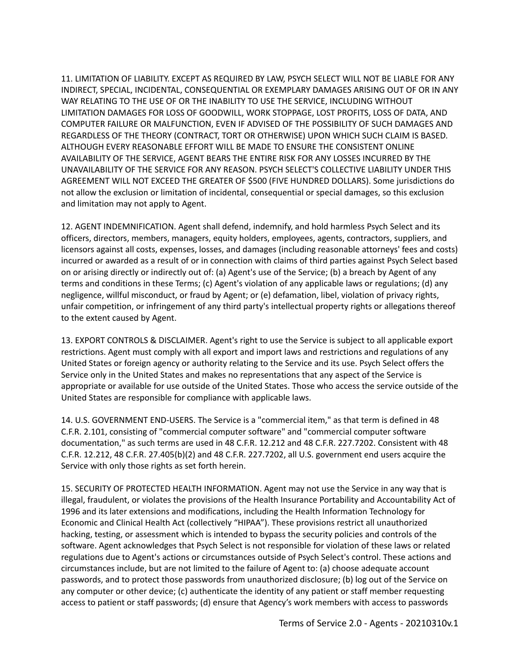11. LIMITATION OF LIABILITY. EXCEPT AS REQUIRED BY LAW, PSYCH SELECT WILL NOT BE LIABLE FOR ANY INDIRECT, SPECIAL, INCIDENTAL, CONSEQUENTIAL OR EXEMPLARY DAMAGES ARISING OUT OF OR IN ANY WAY RELATING TO THE USE OF OR THE INABILITY TO USE THE SERVICE, INCLUDING WITHOUT LIMITATION DAMAGES FOR LOSS OF GOODWILL, WORK STOPPAGE, LOST PROFITS, LOSS OF DATA, AND COMPUTER FAILURE OR MALFUNCTION, EVEN IF ADVISED OF THE POSSIBILITY OF SUCH DAMAGES AND REGARDLESS OF THE THEORY (CONTRACT, TORT OR OTHERWISE) UPON WHICH SUCH CLAIM IS BASED. ALTHOUGH EVERY REASONABLE EFFORT WILL BE MADE TO ENSURE THE CONSISTENT ONLINE AVAILABILITY OF THE SERVICE, AGENT BEARS THE ENTIRE RISK FOR ANY LOSSES INCURRED BY THE UNAVAILABILITY OF THE SERVICE FOR ANY REASON. PSYCH SELECT'S COLLECTIVE LIABILITY UNDER THIS AGREEMENT WILL NOT EXCEED THE GREATER OF \$500 (FIVE HUNDRED DOLLARS). Some jurisdictions do not allow the exclusion or limitation of incidental, consequential or special damages, so this exclusion and limitation may not apply to Agent.

12. AGENT INDEMNIFICATION. Agent shall defend, indemnify, and hold harmless Psych Select and its officers, directors, members, managers, equity holders, employees, agents, contractors, suppliers, and licensors against all costs, expenses, losses, and damages (including reasonable attorneys' fees and costs) incurred or awarded as a result of or in connection with claims of third parties against Psych Select based on or arising directly or indirectly out of: (a) Agent's use of the Service; (b) a breach by Agent of any terms and conditions in these Terms; (c) Agent's violation of any applicable laws or regulations; (d) any negligence, willful misconduct, or fraud by Agent; or (e) defamation, libel, violation of privacy rights, unfair competition, or infringement of any third party's intellectual property rights or allegations thereof to the extent caused by Agent.

13. EXPORT CONTROLS & DISCLAIMER. Agent's right to use the Service is subject to all applicable export restrictions. Agent must comply with all export and import laws and restrictions and regulations of any United States or foreign agency or authority relating to the Service and its use. Psych Select offers the Service only in the United States and makes no representations that any aspect of the Service is appropriate or available for use outside of the United States. Those who access the service outside of the United States are responsible for compliance with applicable laws.

14. U.S. GOVERNMENT END-USERS. The Service is a "commercial item," as that term is defined in 48 C.F.R. 2.101, consisting of "commercial computer software" and "commercial computer software documentation," as such terms are used in 48 C.F.R. 12.212 and 48 C.F.R. 227.7202. Consistent with 48 C.F.R. 12.212, 48 C.F.R. 27.405(b)(2) and 48 C.F.R. 227.7202, all U.S. government end users acquire the Service with only those rights as set forth herein.

15. SECURITY OF PROTECTED HEALTH INFORMATION. Agent may not use the Service in any way that is illegal, fraudulent, or violates the provisions of the Health Insurance Portability and Accountability Act of 1996 and its later extensions and modifications, including the Health Information Technology for Economic and Clinical Health Act (collectively "HIPAA"). These provisions restrict all unauthorized hacking, testing, or assessment which is intended to bypass the security policies and controls of the software. Agent acknowledges that Psych Select is not responsible for violation of these laws or related regulations due to Agent's actions or circumstances outside of Psych Select's control. These actions and circumstances include, but are not limited to the failure of Agent to: (a) choose adequate account passwords, and to protect those passwords from unauthorized disclosure; (b) log out of the Service on any computer or other device; (c) authenticate the identity of any patient or staff member requesting access to patient or staff passwords; (d) ensure that Agency's work members with access to passwords

Terms of Service 2.0 - Agents - 20210310v.1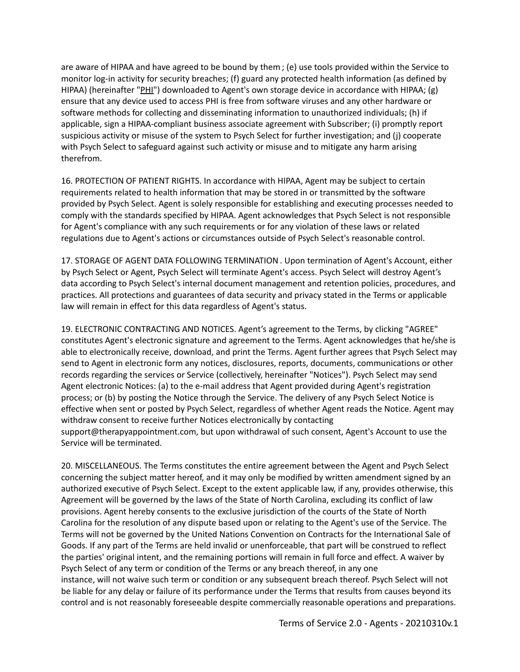are aware of HIPAA and have agreed to be bound by them ; (e) use tools provided within the Service to monitor log-in activity for security breaches; (f) guard any protected health information (as defined by HIPAA) (hereinafter "PHI") downloaded to Agent's own storage device in accordance with HIPAA; (g) ensure that any device used to access PHI is free from software viruses and any other hardware or software methods for collecting and disseminating information to unauthorized individuals; (h) if applicable, sign a HIPAA-compliant business associate agreement with Subscriber; (i) promptly report suspicious activity or misuse of the system to Psych Select for further investigation; and (j) cooperate with Psych Select to safeguard against such activity or misuse and to mitigate any harm arising therefrom.

16. PROTECTION OF PATIENT RIGHTS. In accordance with HIPAA, Agent may be subject to certain requirements related to health information that may be stored in or transmitted by the software provided by Psych Select. Agent is solely responsible for establishing and executing processes needed to comply with the standards specified by HIPAA. Agent acknowledges that Psych Select is not responsible for Agent's compliance with any such requirements or for any violation of these laws or related regulations due to Agent's actions or circumstances outside of Psych Select's reasonable control.

17. STORAGE OF AGENT DATA FOLLOWING TERMINATION . Upon termination of Agent's Account, either by Psych Select or Agent, Psych Select will terminate Agent's access. Psych Select will destroy Agent's data according to Psych Select's internal document management and retention policies, procedures, and practices. All protections and guarantees of data security and privacy stated in the Terms or applicable law will remain in effect for this data regardless of Agent's status.

19. ELECTRONIC CONTRACTING AND NOTICES. Agent's agreement to the Terms, by clicking "AGREE" constitutes Agent's electronic signature and agreement to the Terms. Agent acknowledges that he/she is able to electronically receive, download, and print the Terms. Agent further agrees that Psych Select may send to Agent in electronic form any notices, disclosures, reports, documents, communications or other records regarding the services or Service (collectively, hereinafter "Notices"). Psych Select may send Agent electronic Notices: (a) to the e-mail address that Agent provided during Agent's registration process; or (b) by posting the Notice through the Service. The delivery of any Psych Select Notice is effective when sent or posted by Psych Select, regardless of whether Agent reads the Notice. Agent may withdraw consent to receive further Notices electronically by contacting support@therapyappointment.com, but upon withdrawal of such consent, Agent's Account to use the Service will be terminated.

20. MISCELLANEOUS. The Terms constitutes the entire agreement between the Agent and Psych Select concerning the subject matter hereof, and it may only be modified by written amendment signed by an authorized executive of Psych Select. Except to the extent applicable law, if any, provides otherwise, this Agreement will be governed by the laws of the State of North Carolina, excluding its conflict of law provisions. Agent hereby consents to the exclusive jurisdiction of the courts of the State of North Carolina for the resolution of any dispute based upon or relating to the Agent's use of the Service. The Terms will not be governed by the United Nations Convention on Contracts for the International Sale of Goods. If any part of the Terms are held invalid or unenforceable, that part will be construed to reflect the parties' original intent, and the remaining portions will remain in full force and effect. A waiver by Psych Select of any term or condition of the Terms or any breach thereof, in any one instance, will not waive such term or condition or any subsequent breach thereof. Psych Select will not be liable for any delay or failure of its performance under the Terms that results from causes beyond its control and is not reasonably foreseeable despite commercially reasonable operations and preparations.